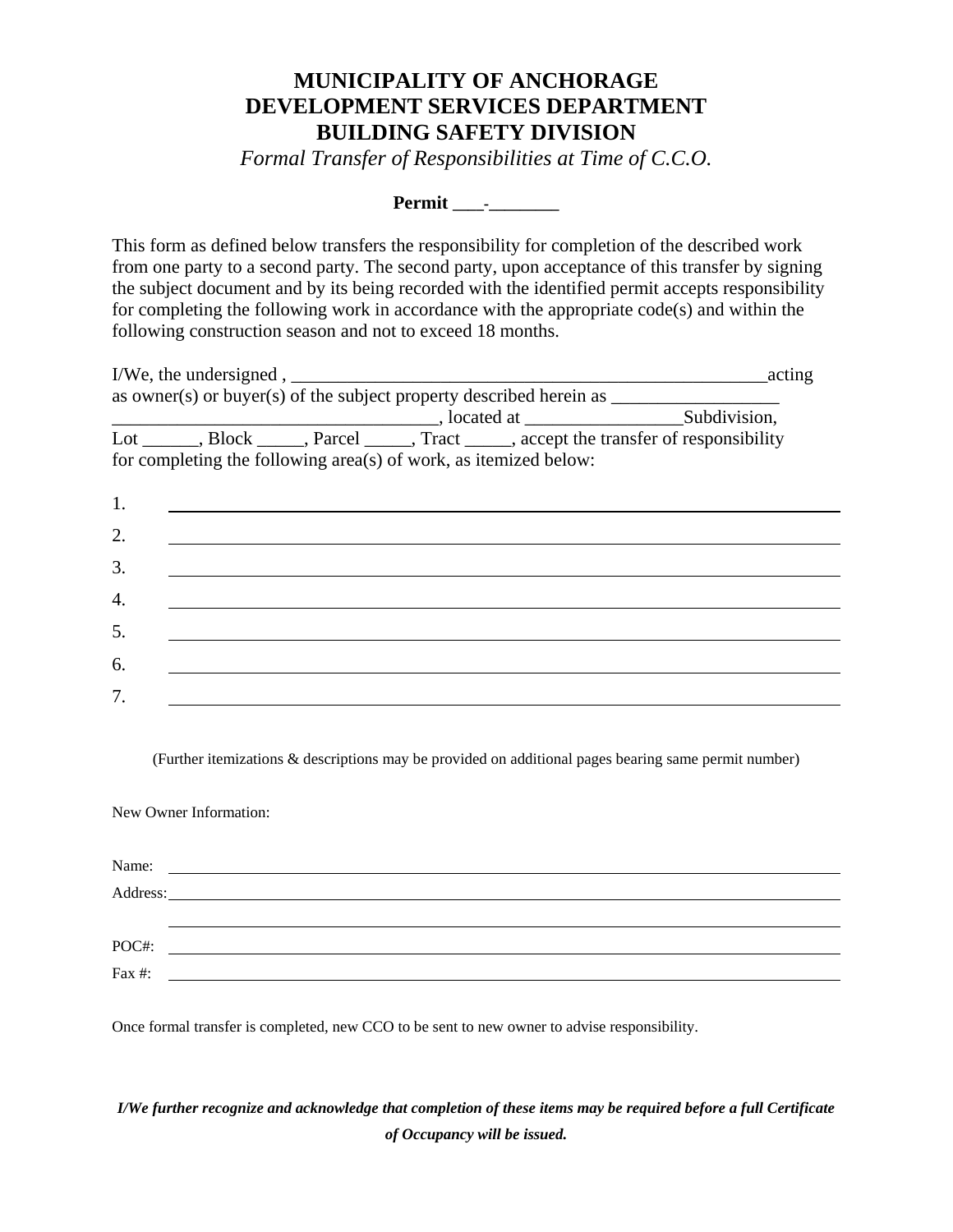## **MUNICIPALITY OF ANCHORAGE DEVELOPMENT SERVICES DEPARTMENT BUILDING SAFETY DIVISION**

*Formal Transfer of Responsibilities at Time of C.C.O.* 

**Permit \_\_\_\_-\_\_\_\_\_\_\_\_\_** 

This form as defined below transfers the responsibility for completion of the described work from one party to a second party. The second party, upon acceptance of this transfer by signing the subject document and by its being recorded with the identified permit accepts responsibility for completing the following work in accordance with the appropriate code(s) and within the following construction season and not to exceed 18 months.

|    |                                                                  |  | I/We, the undersigned, $\frac{1}{2}$<br>acting                                                                                                                                                                                                                                                                                                                           |  |
|----|------------------------------------------------------------------|--|--------------------------------------------------------------------------------------------------------------------------------------------------------------------------------------------------------------------------------------------------------------------------------------------------------------------------------------------------------------------------|--|
|    |                                                                  |  | as owner(s) or buyer(s) of the subject property described herein as $\frac{1}{\sqrt{1 - \frac{1}{\sqrt{1 - \frac{1}{\sqrt{1 - \frac{1}{\sqrt{1 - \frac{1}{\sqrt{1 - \frac{1}{\sqrt{1 - \frac{1}{\sqrt{1 - \frac{1}{\sqrt{1 - \frac{1}{\sqrt{1 - \frac{1}{\sqrt{1 - \frac{1}{\sqrt{1 - \frac{1}{\sqrt{1 - \frac{1}{\sqrt{1 - \frac{1}{\sqrt{1 - \frac{1}{\sqrt{1 - \frac$ |  |
|    |                                                                  |  |                                                                                                                                                                                                                                                                                                                                                                          |  |
|    |                                                                  |  | Lot _______, Block ______, Parcel ______, Tract _____, accept the transfer of responsibility                                                                                                                                                                                                                                                                             |  |
|    | for completing the following area(s) of work, as itemized below: |  |                                                                                                                                                                                                                                                                                                                                                                          |  |
|    |                                                                  |  |                                                                                                                                                                                                                                                                                                                                                                          |  |
| 1. |                                                                  |  |                                                                                                                                                                                                                                                                                                                                                                          |  |
| 2. |                                                                  |  |                                                                                                                                                                                                                                                                                                                                                                          |  |
|    |                                                                  |  |                                                                                                                                                                                                                                                                                                                                                                          |  |
| 3. |                                                                  |  |                                                                                                                                                                                                                                                                                                                                                                          |  |
| 4. |                                                                  |  |                                                                                                                                                                                                                                                                                                                                                                          |  |
| 5. |                                                                  |  |                                                                                                                                                                                                                                                                                                                                                                          |  |
|    |                                                                  |  |                                                                                                                                                                                                                                                                                                                                                                          |  |
| 6. |                                                                  |  |                                                                                                                                                                                                                                                                                                                                                                          |  |
| 7. |                                                                  |  |                                                                                                                                                                                                                                                                                                                                                                          |  |
|    |                                                                  |  |                                                                                                                                                                                                                                                                                                                                                                          |  |

(Further itemizations & descriptions may be provided on additional pages bearing same permit number)

New Owner Information:

| Name:     | <u> 1980 - Jan Sterling Sterling (d. 1980)</u>                                                                        |  |  |
|-----------|-----------------------------------------------------------------------------------------------------------------------|--|--|
| Address:  | <u> 1989 - John Stein, mars and de formation and design and design and design and design and design and design an</u> |  |  |
|           |                                                                                                                       |  |  |
| POC#:     |                                                                                                                       |  |  |
| Fax $#$ : |                                                                                                                       |  |  |

Once formal transfer is completed, new CCO to be sent to new owner to advise responsibility.

## *I/We further recognize and acknowledge that completion of these items may be required before a full Certificate of Occupancy will be issued.*